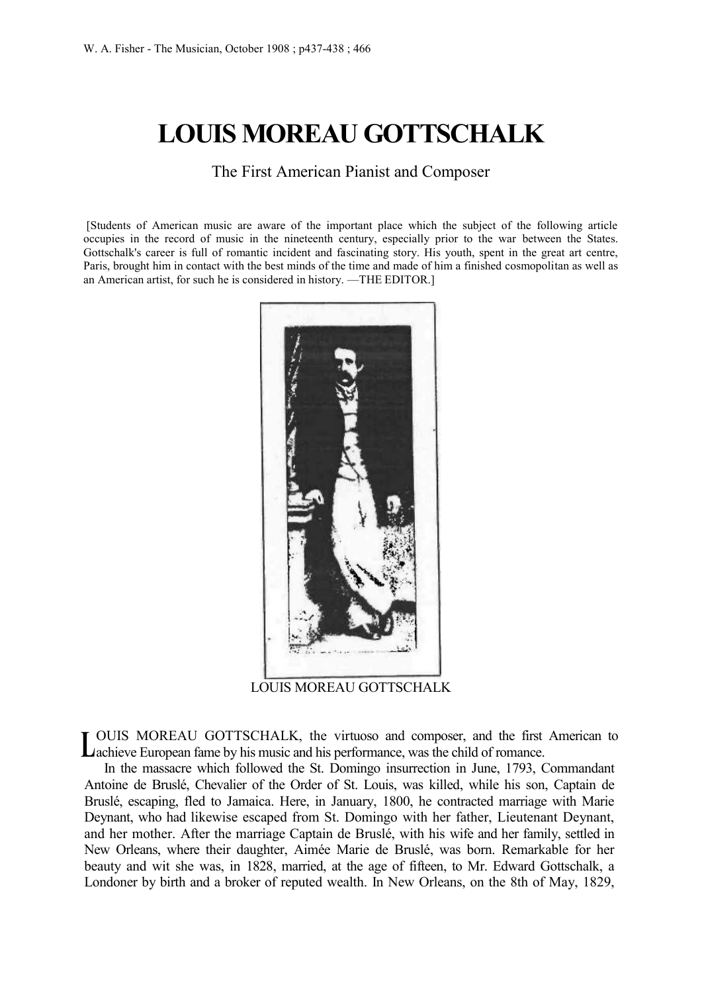# **LOUIS MOREAU GOTTSCHALK**

The First American Pianist and Composer

[Students of American music are aware of the important place which the subject of the following article occupies in the record of music in the nineteenth century, especially prior to the war between the States. Gottschalk's career is full of romantic incident and fascinating story. His youth, spent in the great art centre, Paris, brought him in contact with the best minds of the time and made of him a finished cosmopolitan as well as an American artist, for such he is considered in history. —THE EDITOR.]



LOUIS MOREAU GOTTSCHALK

OUIS MOREAU GOTTSCHALK, the virtuoso and composer, and the first American to Lachieve European fame by his music and his performance, was the child of romance.

In the massacre which followed the St. Domingo insurrection in June, 1793, Commandant Antoine de Bruslé, Chevalier of the Order of St. Louis, was killed, while his son, Captain de Bruslé, escaping, fled to Jamaica. Here, in January, 1800, he contracted marriage with Marie Deynant, who had likewise escaped from St. Domingo with her father, Lieutenant Deynant, and her mother. After the marriage Captain de Bruslé, with his wife and her family, settled in New Orleans, where their daughter, Aimée Marie de Bruslé, was born. Remarkable for her beauty and wit she was, in 1828, married, at the age of fifteen, to Mr. Edward Gottschalk, a Londoner by birth and a broker of reputed wealth. In New Orleans, on the 8th of May, 1829,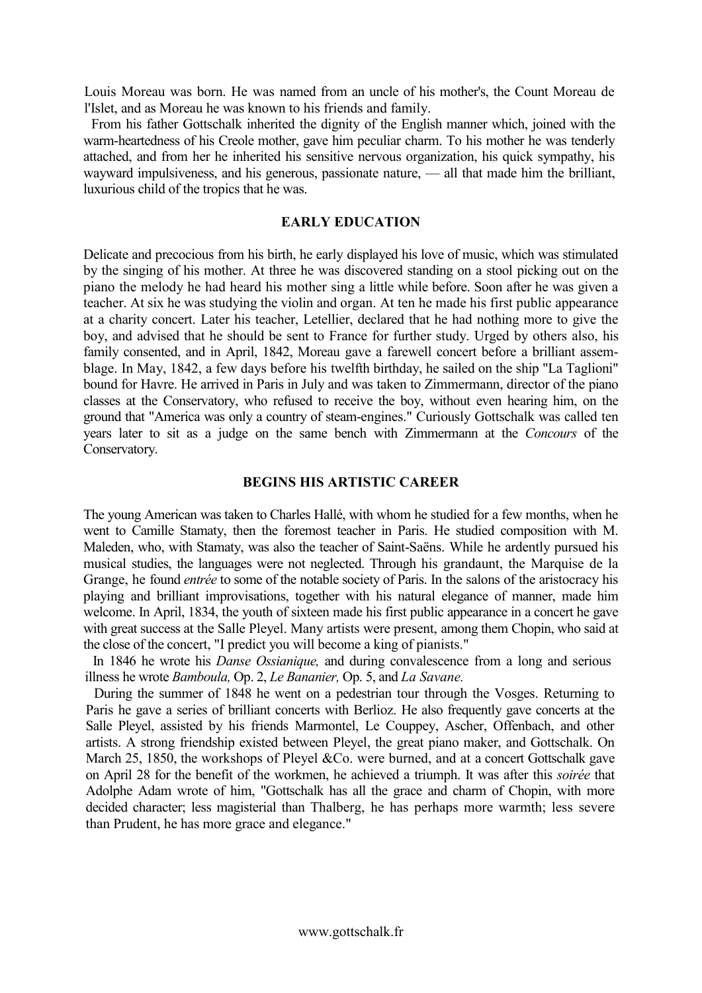Louis Moreau was born. He was named from an uncle of his mother's, the Count Moreau de l'Islet, and as Moreau he was known to his friends and family.

From his father Gottschalk inherited the dignity of the English manner which, joined with the warm-heartedness of his Creole mother, gave him peculiar charm. To his mother he was tenderly attached, and from her he inherited his sensitive nervous organization, his quick sympathy, his wayward impulsiveness, and his generous, passionate nature, — all that made him the brilliant, luxurious child of the tropics that he was.

#### **EARLY EDUCATION**

Delicate and precocious from his birth, he early displayed his love of music, which was stimulated by the singing of his mother. At three he was discovered standing on a stool picking out on the piano the melody he had heard his mother sing a little while before. Soon after he was given a teacher. At six he was studying the violin and organ. At ten he made his first public appearance at a charity concert. Later his teacher, Letellier, declared that he had nothing more to give the boy, and advised that he should be sent to France for further study. Urged by others also, his family consented, and in April, 1842, Moreau gave a farewell concert before a brilliant assemblage. In May, 1842, a few days before his twelfth birthday, he sailed on the ship "La Taglioni" bound for Havre. He arrived in Paris in July and was taken to Zimmermann, director of the piano classes at the Conservatory, who refused to receive the boy, without even hearing him, on the ground that "America was only a country of steam-engines." Curiously Gottschalk was called ten years later to sit as a judge on the same bench with Zimmermann at the *Concours* of the Conservatory.

#### **BEGINS HIS ARTISTIC CAREER**

The young American was taken to Charles Hallé, with whom he studied for a few months, when he went to Camille Stamaty, then the foremost teacher in Paris. He studied composition with M. Maleden, who, with Stamaty, was also the teacher of Saint-Saëns. While he ardently pursued his musical studies, the languages were not neglected. Through his grandaunt, the Marquise de la Grange, he found *entrée* to some of the notable society of Paris. In the salons of the aristocracy his playing and brilliant improvisations, together with his natural elegance of manner, made him welcome. In April, 1834, the youth of sixteen made his first public appearance in a concert he gave with great success at the Salle Pleyel. Many artists were present, among them Chopin, who said at the close of the concert, "I predict you will become a king of pianists."

In 1846 he wrote his *Danse Ossianique,* and during convalescence from a long and serious illness he wrote *Bamboula,* Op. 2, *Le Bananier,* Op. 5, and *La Savane.*

During the summer of 1848 he went on a pedestrian tour through the Vosges. Returning to Paris he gave a series of brilliant concerts with Berlioz. He also frequently gave concerts at the Salle Pleyel, assisted by his friends Marmontel, Le Couppey, Ascher, Offenbach, and other artists. A strong friendship existed between Pleyel, the great piano maker, and Gottschalk. On March 25, 1850, the workshops of Pleyel &Co. were burned, and at a concert Gottschalk gave on April 28 for the benefit of the workmen, he achieved a triumph. It was after this *soirée* that Adolphe Adam wrote of him, "Gottschalk has all the grace and charm of Chopin, with more decided character; less magisterial than Thalberg, he has perhaps more warmth; less severe than Prudent, he has more grace and elegance."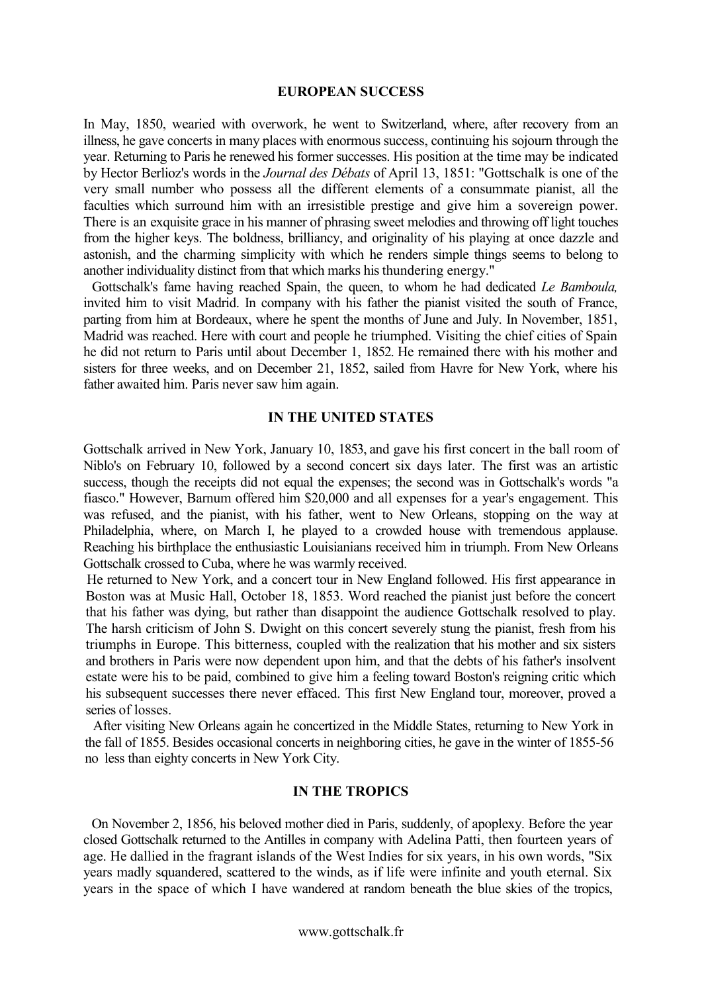#### **EUROPEAN SUCCESS**

In May, 1850, wearied with overwork, he went to Switzerland, where, after recovery from an illness, he gave concerts in many places with enormous success, continuing his sojourn through the year. Returning to Paris he renewed his former successes. His position at the time may be indicated by Hector Berlioz's words in the *Journal des Débats* of April 13, 1851: "Gottschalk is one of the very small number who possess all the different elements of a consummate pianist, all the faculties which surround him with an irresistible prestige and give him a sovereign power. There is an exquisite grace in his manner of phrasing sweet melodies and throwing off light touches from the higher keys. The boldness, brilliancy, and originality of his playing at once dazzle and astonish, and the charming simplicity with which he renders simple things seems to belong to another individuality distinct from that which marks his thundering energy."

Gottschalk's fame having reached Spain, the queen, to whom he had dedicated *Le Bamboula,*  invited him to visit Madrid. In company with his father the pianist visited the south of France, parting from him at Bordeaux, where he spent the months of June and July. In November, 1851, Madrid was reached. Here with court and people he triumphed. Visiting the chief cities of Spain he did not return to Paris until about December 1, 1852. He remained there with his mother and sisters for three weeks, and on December 21, 1852, sailed from Havre for New York, where his father awaited him. Paris never saw him again.

#### **IN THE UNITED STATES**

Gottschalk arrived in New York, January 10, 1853, and gave his first concert in the ball room of Niblo's on February 10, followed by a second concert six days later. The first was an artistic success, though the receipts did not equal the expenses; the second was in Gottschalk's words "a fiasco." However, Barnum offered him \$20,000 and all expenses for a year's engagement. This was refused, and the pianist, with his father, went to New Orleans, stopping on the way at Philadelphia, where, on March I, he played to a crowded house with tremendous applause. Reaching his birthplace the enthusiastic Louisianians received him in triumph. From New Orleans Gottschalk crossed to Cuba, where he was warmly received.

He returned to New York, and a concert tour in New England followed. His first appearance in Boston was at Music Hall, October 18, 1853. Word reached the pianist just before the concert that his father was dying, but rather than disappoint the audience Gottschalk resolved to play. The harsh criticism of John S. Dwight on this concert severely stung the pianist, fresh from his triumphs in Europe. This bitterness, coupled with the realization that his mother and six sisters and brothers in Paris were now dependent upon him, and that the debts of his father's insolvent estate were his to be paid, combined to give him a feeling toward Boston's reigning critic which his subsequent successes there never effaced. This first New England tour, moreover, proved a series of losses.

After visiting New Orleans again he concertized in the Middle States, returning to New York in the fall of 1855. Besides occasional concerts in neighboring cities, he gave in the winter of 1855-56 no less than eighty concerts in New York City.

### **IN THE TROPICS**

On November 2, 1856, his beloved mother died in Paris, suddenly, of apoplexy. Before the year closed Gottschalk returned to the Antilles in company with Adelina Patti, then fourteen years of age. He dallied in the fragrant islands of the West Indies for six years, in his own words, "Six years madly squandered, scattered to the winds, as if life were infinite and youth eternal. Six years in the space of which I have wandered at random beneath the blue skies of the tropics,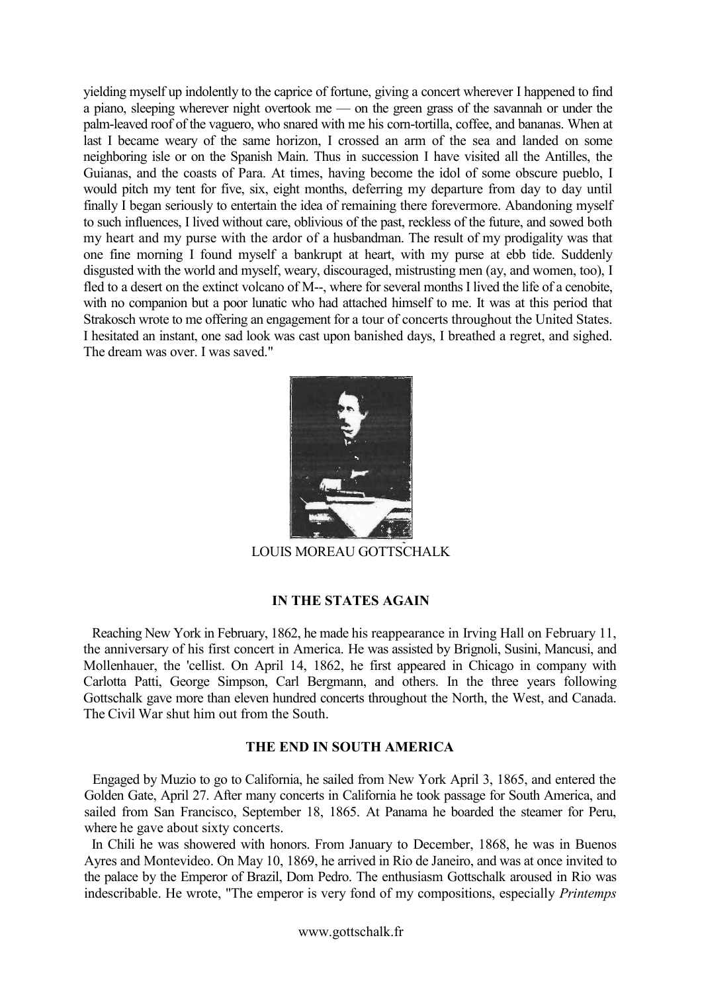yielding myself up indolently to the caprice of fortune, giving a concert wherever I happened to find a piano, sleeping wherever night overtook me — on the green grass of the savannah or under the palm-leaved roof of the vaguero, who snared with me his corn-tortilla, coffee, and bananas. When at last I became weary of the same horizon, I crossed an arm of the sea and landed on some neighboring isle or on the Spanish Main. Thus in succession I have visited all the Antilles, the Guianas, and the coasts of Para. At times, having become the idol of some obscure pueblo, I would pitch my tent for five, six, eight months, deferring my departure from day to day until finally I began seriously to entertain the idea of remaining there forevermore. Abandoning myself to such influences, I lived without care, oblivious of the past, reckless of the future, and sowed both my heart and my purse with the ardor of a husbandman. The result of my prodigality was that one fine morning I found myself a bankrupt at heart, with my purse at ebb tide. Suddenly disgusted with the world and myself, weary, discouraged, mistrusting men (ay, and women, too), I fled to a desert on the extinct volcano of M--, where for several months I lived the life of a cenobite, with no companion but a poor lunatic who had attached himself to me. It was at this period that Strakosch wrote to me offering an engagement for a tour of concerts throughout the United States. I hesitated an instant, one sad look was cast upon banished days, I breathed a regret, and sighed. The dream was over. I was saved."



LOUIS MOREAU GOTTSCHALK

## **IN THE STATES AGAIN**

Reaching New York in February, 1862, he made his reappearance in Irving Hall on February 11, the anniversary of his first concert in America. He was assisted by Brignoli, Susini, Mancusi, and Mollenhauer, the 'cellist. On April 14, 1862, he first appeared in Chicago in company with Carlotta Patti, George Simpson, Carl Bergmann, and others. In the three years following Gottschalk gave more than eleven hundred concerts throughout the North, the West, and Canada. The Civil War shut him out from the South.

# **THE END IN SOUTH AMERICA**

Engaged by Muzio to go to California, he sailed from New York April 3, 1865, and entered the Golden Gate, April 27. After many concerts in California he took passage for South America, and sailed from San Francisco, September 18, 1865. At Panama he boarded the steamer for Peru, where he gave about sixty concerts.

In Chili he was showered with honors. From January to December, 1868, he was in Buenos Ayres and Montevideo. On May 10, 1869, he arrived in Rio de Janeiro, and was at once invited to the palace by the Emperor of Brazil, Dom Pedro. The enthusiasm Gottschalk aroused in Rio was indescribable. He wrote, "The emperor is very fond of my compositions, especially *Printemps*